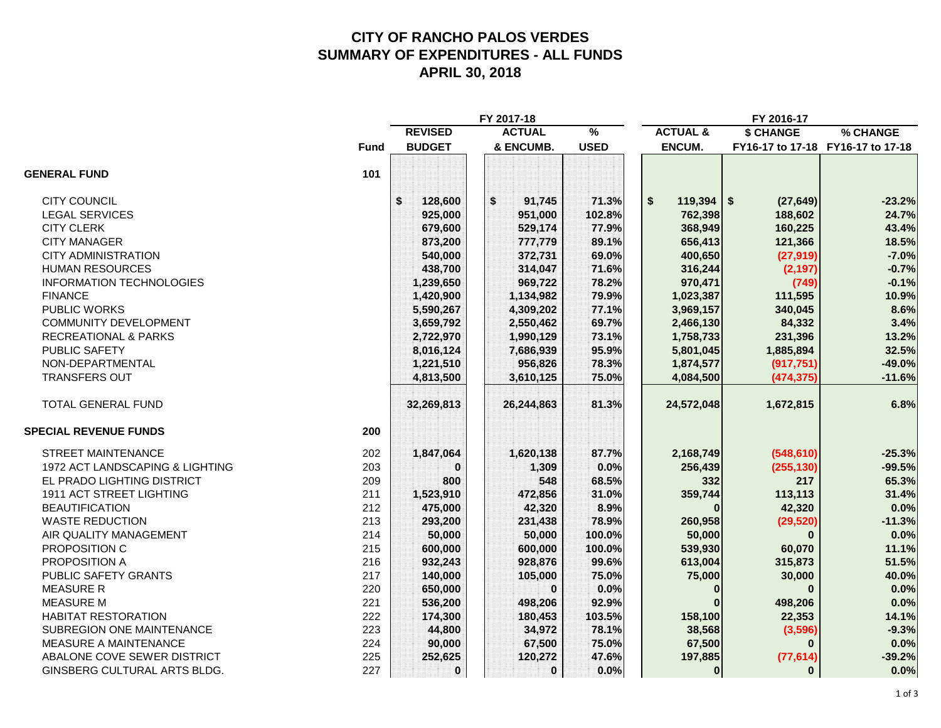## **CITY OF RANCHO PALOS VERDES SUMMARY OF EXPENDITURES - ALL FUNDS APRIL 30, 2018**

|                                 |             | FY 2017-18     |               |               | FY 2016-17          |              |                                   |
|---------------------------------|-------------|----------------|---------------|---------------|---------------------|--------------|-----------------------------------|
|                                 |             | <b>REVISED</b> | <b>ACTUAL</b> | $\frac{9}{6}$ | <b>ACTUAL &amp;</b> | \$ CHANGE    | % CHANGE                          |
|                                 | <b>Fund</b> | <b>BUDGET</b>  | & ENCUMB.     | <b>USED</b>   | ENCUM.              |              | FY16-17 to 17-18 FY16-17 to 17-18 |
| <b>GENERAL FUND</b>             | 101         |                |               |               |                     |              |                                   |
| <b>CITY COUNCIL</b>             |             | \$<br>128,600  | \$<br>91,745  | 71.3%         | \$<br>$119,394$ \$  | (27, 649)    | $-23.2%$                          |
| <b>LEGAL SERVICES</b>           |             | 925,000        | 951,000       | 102.8%        | 762,398             | 188,602      | 24.7%                             |
| <b>CITY CLERK</b>               |             | 679,600        | 529,174       | 77.9%         | 368,949             | 160,225      | 43.4%                             |
| <b>CITY MANAGER</b>             |             | 873,200        | 777,779       | 89.1%         | 656,413             | 121,366      | 18.5%                             |
| <b>CITY ADMINISTRATION</b>      |             | 540,000        | 372,731       | 69.0%         | 400,650             | (27, 919)    | $-7.0%$                           |
| <b>HUMAN RESOURCES</b>          |             | 438,700        | 314,047       | 71.6%         | 316,244             | (2, 197)     | $-0.7%$                           |
| <b>INFORMATION TECHNOLOGIES</b> |             | 1,239,650      | 969,722       | 78.2%         | 970,471             | (749)        | $-0.1%$                           |
| <b>FINANCE</b>                  |             | 1,420,900      | 1,134,982     | 79.9%         | 1,023,387           | 111,595      | 10.9%                             |
| PUBLIC WORKS                    |             | 5,590,267      | 4,309,202     | 77.1%         | 3,969,157           | 340,045      | 8.6%                              |
| COMMUNITY DEVELOPMENT           |             | 3,659,792      | 2,550,462     | 69.7%         | 2,466,130           | 84,332       | 3.4%                              |
| <b>RECREATIONAL &amp; PARKS</b> |             | 2,722,970      | 1,990,129     | 73.1%         | 1,758,733           | 231,396      | 13.2%                             |
| PUBLIC SAFETY                   |             | 8,016,124      | 7,686,939     | 95.9%         | 5,801,045           | 1,885,894    | 32.5%                             |
| NON-DEPARTMENTAL                |             | 1,221,510      | 956,826       | 78.3%         | 1,874,577           | (917, 751)   | $-49.0%$                          |
| <b>TRANSFERS OUT</b>            |             | 4,813,500      | 3,610,125     | 75.0%         | 4,084,500           | (474, 375)   | $-11.6%$                          |
| TOTAL GENERAL FUND              |             | 32,269,813     | 26,244,863    | 81.3%         | 24,572,048          | 1,672,815    | 6.8%                              |
| <b>SPECIAL REVENUE FUNDS</b>    | 200         |                |               |               |                     |              |                                   |
| <b>STREET MAINTENANCE</b>       | 202         | 1,847,064      | 1,620,138     | 87.7%         | 2,168,749           | (548, 610)   | $-25.3%$                          |
| 1972 ACT LANDSCAPING & LIGHTING | 203         | $\bf{0}$       | 1,309         | 0.0%          | 256,439             | (255, 130)   | $-99.5%$                          |
| EL PRADO LIGHTING DISTRICT      | 209         | 800            | 548           | 68.5%         | 332                 | 217          | 65.3%                             |
| 1911 ACT STREET LIGHTING        | 211         | 1,523,910      | 472,856       | 31.0%         | 359,744             | 113,113      | 31.4%                             |
| <b>BEAUTIFICATION</b>           | 212         | 475,000        | 42,320        | 8.9%          | $\bf{0}$            | 42,320       | 0.0%                              |
| <b>WASTE REDUCTION</b>          | 213         | 293,200        | 231,438       | 78.9%         | 260,958             | (29, 520)    | $-11.3%$                          |
| AIR QUALITY MANAGEMENT          | 214         | 50,000         | 50,000        | 100.0%        | 50,000              | $\Omega$     | 0.0%                              |
| PROPOSITION C                   | 215         | 600,000        | 600,000       | 100.0%        | 539,930             | 60,070       | 11.1%                             |
| PROPOSITION A                   | 216         | 932,243        | 928,876       | 99.6%         | 613,004             | 315,873      | 51.5%                             |
| PUBLIC SAFETY GRANTS            | 217         | 140,000        | 105,000       | 75.0%         | 75,000              | 30,000       | 40.0%                             |
| <b>MEASURE R</b>                | 220         | 650,000        | $\bf{0}$      | 0.0%          | $\bf{0}$            | $\Omega$     | 0.0%                              |
| <b>MEASURE M</b>                | 221         | 536,200        | 498,206       | 92.9%         |                     | 498,206      | 0.0%                              |
| <b>HABITAT RESTORATION</b>      | 222         | 174,300        | 180,453       | 103.5%        | 158,100             | 22,353       | 14.1%                             |
| SUBREGION ONE MAINTENANCE       | 223         | 44,800         | 34,972        | 78.1%         | 38,568              | (3,596)      | $-9.3%$                           |
| <b>MEASURE A MAINTENANCE</b>    | 224         | 90,000         | 67,500        | 75.0%         | 67,500              | $\mathbf{0}$ | 0.0%                              |
| ABALONE COVE SEWER DISTRICT     | 225         | 252,625        | 120,272       | 47.6%         | 197,885             | (77, 614)    | $-39.2%$                          |
| GINSBERG CULTURAL ARTS BLDG.    | 227         | 0              | 0             | 0.0%          | $\bf{0}$            | $\bf{0}$     | 0.0%                              |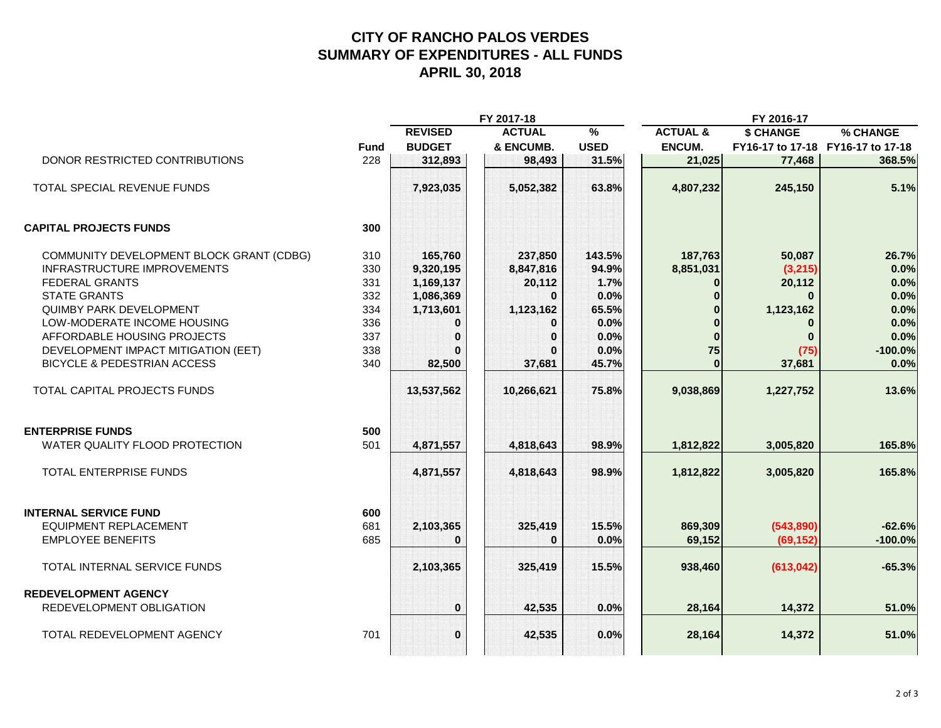## **CITY OF RANCHO PALOS VERDES SUMMARY OF EXPENDITURES - ALL FUNDS APRIL 30, 2018**

|                                          |             | FY 2017-18     |               |               | FY 2016-17          |            |                                   |  |
|------------------------------------------|-------------|----------------|---------------|---------------|---------------------|------------|-----------------------------------|--|
|                                          |             | <b>REVISED</b> | <b>ACTUAL</b> | $\frac{9}{6}$ | <b>ACTUAL &amp;</b> | \$ CHANGE  | % CHANGE                          |  |
|                                          | <b>Fund</b> | <b>BUDGET</b>  | & ENCUMB.     | <b>USED</b>   | ENCUM.              |            | FY16-17 to 17-18 FY16-17 to 17-18 |  |
| DONOR RESTRICTED CONTRIBUTIONS           | 228         | 312,893        | 98,493        | 31.5%         | 21,025              | 77,468     | 368.5%                            |  |
| TOTAL SPECIAL REVENUE FUNDS              |             | 7,923,035      | 5,052,382     | 63.8%         | 4,807,232           | 245,150    | 5.1%                              |  |
| <b>CAPITAL PROJECTS FUNDS</b>            | 300         |                |               |               |                     |            |                                   |  |
| COMMUNITY DEVELOPMENT BLOCK GRANT (CDBG) | 310         | 165,760        | 237,850       | 143.5%        | 187,763             | 50,087     | 26.7%                             |  |
| <b>INFRASTRUCTURE IMPROVEMENTS</b>       | 330         | 9,320,195      | 8,847,816     | 94.9%         | 8,851,031           | (3,215)    | 0.0%                              |  |
| <b>FEDERAL GRANTS</b>                    | 331         | 1,169,137      | 20,112        | 1.7%          | 0                   | 20,112     | 0.0%                              |  |
| <b>STATE GRANTS</b>                      | 332         | 1,086,369      | $\bf{0}$      | 0.0%          | $\bf{0}$            | $\bf{0}$   | 0.0%                              |  |
| <b>QUIMBY PARK DEVELOPMENT</b>           | 334         | 1,713,601      | 1,123,162     | 65.5%         | $\bf{0}$            | 1,123,162  | 0.0%                              |  |
| LOW-MODERATE INCOME HOUSING              | 336         | 0              | $\bf{0}$      | 0.0%          | $\bf{0}$            | $\bf{0}$   | 0.0%                              |  |
| AFFORDABLE HOUSING PROJECTS              | 337         | $\bf{0}$       | $\bf{0}$      | 0.0%          | $\bf{0}$            | $\bf{0}$   | 0.0%                              |  |
| DEVELOPMENT IMPACT MITIGATION (EET)      | 338         |                | $\Omega$      | 0.0%          | 75                  | (75)       | $-100.0%$                         |  |
| <b>BICYCLE &amp; PEDESTRIAN ACCESS</b>   | 340         | 82,500         | 37,681        | 45.7%         | $\Omega$            | 37,681     | 0.0%                              |  |
| TOTAL CAPITAL PROJECTS FUNDS             |             | 13,537,562     | 10,266,621    | 75.8%         | 9,038,869           | 1,227,752  | 13.6%                             |  |
| <b>ENTERPRISE FUNDS</b>                  | 500         |                |               |               |                     |            |                                   |  |
| WATER QUALITY FLOOD PROTECTION           | 501         | 4,871,557      | 4,818,643     | 98.9%         | 1,812,822           | 3,005,820  | 165.8%                            |  |
| <b>TOTAL ENTERPRISE FUNDS</b>            |             | 4,871,557      | 4,818,643     | 98.9%         | 1,812,822           | 3,005,820  | 165.8%                            |  |
| <b>INTERNAL SERVICE FUND</b>             | 600         |                |               |               |                     |            |                                   |  |
| <b>EQUIPMENT REPLACEMENT</b>             | 681         | 2,103,365      | 325,419       | 15.5%         | 869,309             | (543,890)  | $-62.6%$                          |  |
| <b>EMPLOYEE BENEFITS</b>                 | 685         | $\bf{0}$       | $\Omega$      | 0.0%          | 69,152              | (69, 152)  | $-100.0%$                         |  |
| TOTAL INTERNAL SERVICE FUNDS             |             | 2,103,365      | 325,419       | 15.5%         | 938,460             | (613, 042) | $-65.3%$                          |  |
| <b>REDEVELOPMENT AGENCY</b>              |             |                |               |               |                     |            |                                   |  |
| REDEVELOPMENT OBLIGATION                 |             | $\bf{0}$       | 42,535        | 0.0%          | 28,164              | 14,372     | 51.0%                             |  |
| TOTAL REDEVELOPMENT AGENCY               | 701         | $\bf{0}$       | 42,535        | 0.0%          | 28,164              | 14,372     | 51.0%                             |  |
|                                          |             |                |               |               |                     |            |                                   |  |